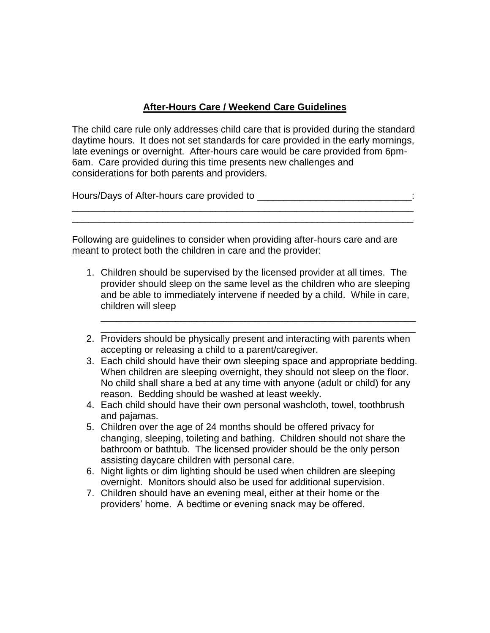## **After-Hours Care / Weekend Care Guidelines**

The child care rule only addresses child care that is provided during the standard daytime hours. It does not set standards for care provided in the early mornings, late evenings or overnight. After-hours care would be care provided from 6pm-6am. Care provided during this time presents new challenges and considerations for both parents and providers.

\_\_\_\_\_\_\_\_\_\_\_\_\_\_\_\_\_\_\_\_\_\_\_\_\_\_\_\_\_\_\_\_\_\_\_\_\_\_\_\_\_\_\_\_\_\_\_\_\_\_\_\_\_\_\_\_\_\_\_\_\_\_\_\_ \_\_\_\_\_\_\_\_\_\_\_\_\_\_\_\_\_\_\_\_\_\_\_\_\_\_\_\_\_\_\_\_\_\_\_\_\_\_\_\_\_\_\_\_\_\_\_\_\_\_\_\_\_\_\_\_\_\_\_\_\_\_\_\_

Hours/Days of After-hours care provided to \_\_\_\_\_\_\_\_\_\_\_\_\_\_\_\_\_\_\_\_\_\_\_\_\_\_\_\_\_:

Following are guidelines to consider when providing after-hours care and are meant to protect both the children in care and the provider:

- 1. Children should be supervised by the licensed provider at all times. The provider should sleep on the same level as the children who are sleeping and be able to immediately intervene if needed by a child. While in care, children will sleep
- 2. Providers should be physically present and interacting with parents when accepting or releasing a child to a parent/caregiver.

\_\_\_\_\_\_\_\_\_\_\_\_\_\_\_\_\_\_\_\_\_\_\_\_\_\_\_\_\_\_\_\_\_\_\_\_\_\_\_\_\_\_\_\_\_\_\_\_\_\_\_\_\_\_\_\_\_\_\_ \_\_\_\_\_\_\_\_\_\_\_\_\_\_\_\_\_\_\_\_\_\_\_\_\_\_\_\_\_\_\_\_\_\_\_\_\_\_\_\_\_\_\_\_\_\_\_\_\_\_\_\_\_\_\_\_\_\_\_

- 3. Each child should have their own sleeping space and appropriate bedding. When children are sleeping overnight, they should not sleep on the floor. No child shall share a bed at any time with anyone (adult or child) for any reason. Bedding should be washed at least weekly.
- 4. Each child should have their own personal washcloth, towel, toothbrush and pajamas.
- 5. Children over the age of 24 months should be offered privacy for changing, sleeping, toileting and bathing. Children should not share the bathroom or bathtub. The licensed provider should be the only person assisting daycare children with personal care.
- 6. Night lights or dim lighting should be used when children are sleeping overnight. Monitors should also be used for additional supervision.
- 7. Children should have an evening meal, either at their home or the providers' home. A bedtime or evening snack may be offered.